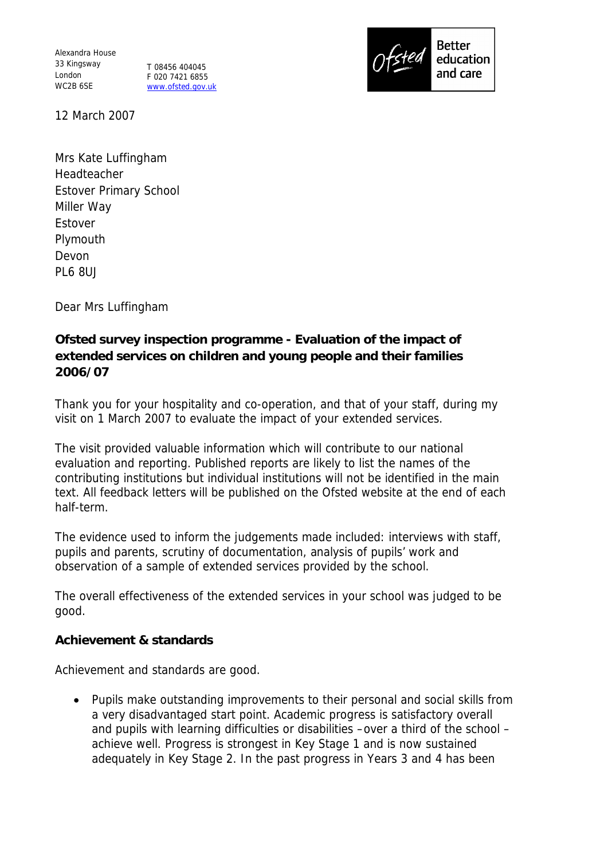Alexandra House 33 Kingsway London WC2B 6SE

T 08456 404045 F 020 7421 6855 www.ofsted.gov.uk



12 March 2007

Mrs Kate Luffingham Headteacher Estover Primary School Miller Way Estover Plymouth Devon PL6 8UJ

Dear Mrs Luffingham

**Ofsted survey inspection programme - Evaluation of the impact of extended services on children and young people and their families 2006/07**

Thank you for your hospitality and co-operation, and that of your staff, during my visit on 1 March 2007 to evaluate the impact of your extended services.

The visit provided valuable information which will contribute to our national evaluation and reporting. Published reports are likely to list the names of the contributing institutions but individual institutions will not be identified in the main text. All feedback letters will be published on the Ofsted website at the end of each half-term.

The evidence used to inform the judgements made included: interviews with staff, pupils and parents, scrutiny of documentation, analysis of pupils' work and observation of a sample of extended services provided by the school.

The overall effectiveness of the extended services in your school was judged to be good.

**Achievement & standards**

Achievement and standards are good.

 Pupils make outstanding improvements to their personal and social skills from a very disadvantaged start point. Academic progress is satisfactory overall and pupils with learning difficulties or disabilities –over a third of the school – achieve well. Progress is strongest in Key Stage 1 and is now sustained adequately in Key Stage 2. In the past progress in Years 3 and 4 has been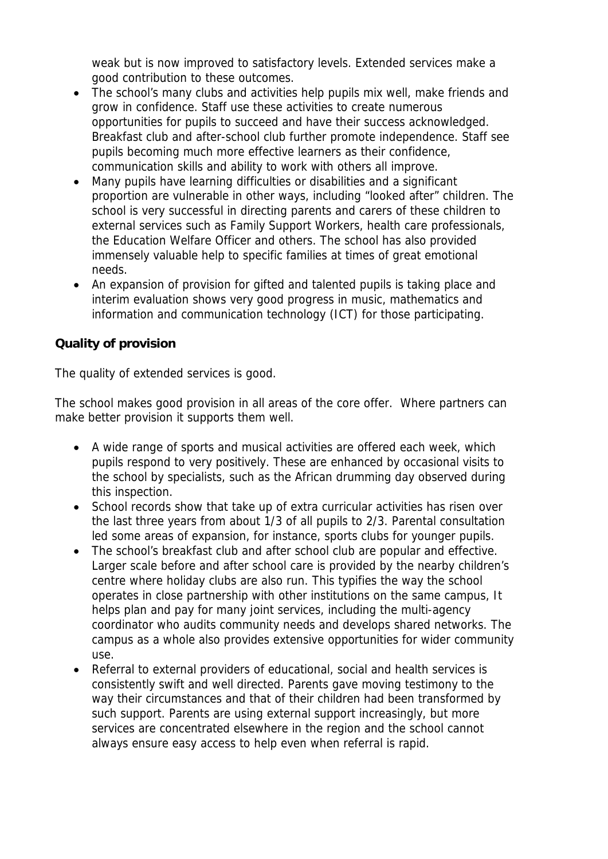weak but is now improved to satisfactory levels. Extended services make a good contribution to these outcomes.

- The school's many clubs and activities help pupils mix well, make friends and grow in confidence. Staff use these activities to create numerous opportunities for pupils to succeed and have their success acknowledged. Breakfast club and after-school club further promote independence. Staff see pupils becoming much more effective learners as their confidence, communication skills and ability to work with others all improve.
- Many pupils have learning difficulties or disabilities and a significant proportion are vulnerable in other ways, including "looked after" children. The school is very successful in directing parents and carers of these children to external services such as Family Support Workers, health care professionals, the Education Welfare Officer and others. The school has also provided immensely valuable help to specific families at times of great emotional needs.
- An expansion of provision for gifted and talented pupils is taking place and interim evaluation shows very good progress in music, mathematics and information and communication technology (ICT) for those participating.

## **Quality of provision**

The quality of extended services is good.

The school makes good provision in all areas of the core offer. Where partners can make better provision it supports them well.

- A wide range of sports and musical activities are offered each week, which pupils respond to very positively. These are enhanced by occasional visits to the school by specialists, such as the African drumming day observed during this inspection.
- School records show that take up of extra curricular activities has risen over the last three years from about 1/3 of all pupils to 2/3. Parental consultation led some areas of expansion, for instance, sports clubs for younger pupils.
- The school's breakfast club and after school club are popular and effective. Larger scale before and after school care is provided by the nearby children's centre where holiday clubs are also run. This typifies the way the school operates in close partnership with other institutions on the same campus, It helps plan and pay for many joint services, including the multi-agency coordinator who audits community needs and develops shared networks. The campus as a whole also provides extensive opportunities for wider community use.
- Referral to external providers of educational, social and health services is consistently swift and well directed. Parents gave moving testimony to the way their circumstances and that of their children had been transformed by such support. Parents are using external support increasingly, but more services are concentrated elsewhere in the region and the school cannot always ensure easy access to help even when referral is rapid.